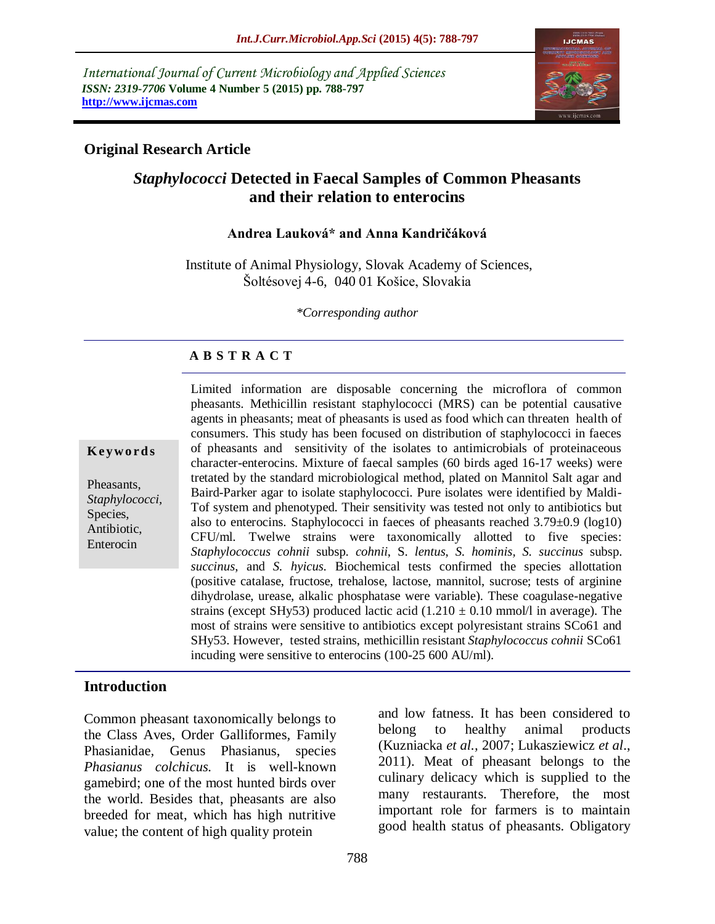*International Journal of Current Microbiology and Applied Sciences ISSN: 2319-7706* **Volume 4 Number 5 (2015) pp. 788-797 http://www.ijcmas.com** 



### **Original Research Article**

# *Staphylococci* **Detected in Faecal Samples of Common Pheasants and their relation to enterocins**

#### **Andrea Lauková\* and Anna Kandričáková**

Institute of Animal Physiology, Slovak Academy of Sciences, Šoltésovej 4-6, 040 01 Košice, Slovakia

*\*Corresponding author*

### **A B S T R A C T**

**K ey w o rd s**

Pheasants, *Staphylococci,*  Species, Antibiotic, Enterocin

Limited information are disposable concerning the microflora of common pheasants. Methicillin resistant staphylococci (MRS) can be potential causative agents in pheasants; meat of pheasants is used as food which can threaten health of consumers. This study has been focused on distribution of staphylococci in faeces of pheasants and sensitivity of the isolates to antimicrobials of proteinaceous character-enterocins. Mixture of faecal samples (60 birds aged 16-17 weeks) were tretated by the standard microbiological method, plated on Mannitol Salt agar and Baird-Parker agar to isolate staphylococci. Pure isolates were identified by Maldi-Tof system and phenotyped. Their sensitivity was tested not only to antibiotics but also to enterocins. Staphylococci in faeces of pheasants reached 3.79±0.9 (log10) CFU/ml. Twelwe strains were taxonomically allotted to five species: *Staphylococcus cohnii* subsp. *cohnii*, S. *lentus*, *S. hominis, S. succinus* subsp. *succinus*, and *S. hyicus.* Biochemical tests confirmed the species allottation (positive catalase, fructose, trehalose, lactose, mannitol, sucrose; tests of arginine dihydrolase, urease, alkalic phosphatase were variable). These coagulase-negative strains (except SHy53) produced lactic acid  $(1.210 \pm 0.10 \text{ mmol/l}$  in average). The most of strains were sensitive to antibiotics except polyresistant strains SCo61 and SHy53. However, tested strains, methicillin resistant *Staphylococcus cohnii* SCo61 incuding were sensitive to enterocins (100-25 600 AU/ml).

#### **Introduction**

Common pheasant taxonomically belongs to the Class Aves, Order Galliformes*,* Family Phasianidae*,* Genus Phasianus, species *Phasianus colchicus.* It is well-known gamebird; one of the most hunted birds over the world. Besides that, pheasants are also breeded for meat, which has high nutritive value; the content of high quality protein

and low fatness. It has been considered to belong to healthy animal products (Kuzniacka *et al.,* 2007; Lukasziewicz *et al*., 2011). Meat of pheasant belongs to the culinary delicacy which is supplied to the many restaurants. Therefore, the most important role for farmers is to maintain good health status of pheasants. Obligatory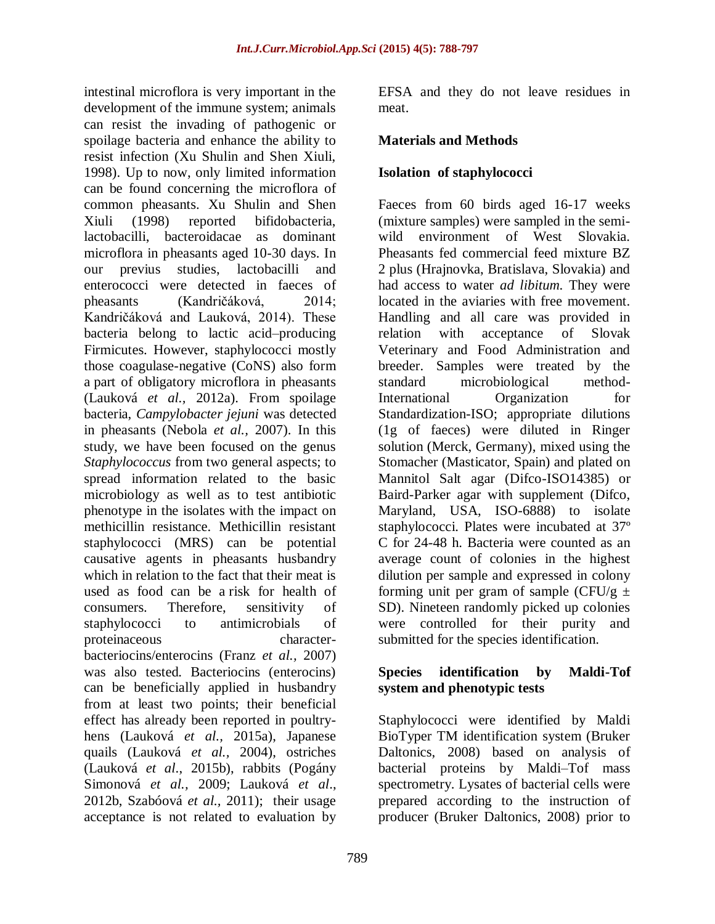intestinal microflora is very important in the development of the immune system; animals can resist the invading of pathogenic or spoilage bacteria and enhance the ability to resist infection (Xu Shulin and Shen Xiuli, 1998). Up to now, only limited information can be found concerning the microflora of common pheasants. Xu Shulin and Shen Xiuli (1998) reported bifidobacteria, lactobacilli, bacteroidacae as dominant microflora in pheasants aged 10-30 days. In our previus studies, lactobacilli and enterococci were detected in faeces of pheasants (Kandričáková, 2014; Kandričáková and Lauková, 2014). These bacteria belong to lactic acid–producing Firmicutes. However, staphylococci mostly those coagulase-negative (CoNS) also form a part of obligatory microflora in pheasants (Lauková *et al.,* 2012a). From spoilage bacteria, *Campylobacter jejuni* was detected in pheasants (Nebola *et al.,* 2007). In this study, we have been focused on the genus *Staphylococcus* from two general aspects; to spread information related to the basic microbiology as well as to test antibiotic phenotype in the isolates with the impact on methicillin resistance. Methicillin resistant staphylococci (MRS) can be potential causative agents in pheasants husbandry which in relation to the fact that their meat is used as food can be a risk for health of consumers. Therefore, sensitivity of staphylococci to antimicrobials of proteinaceous characterbacteriocins/enterocins (Franz *et al.,* 2007) was also tested. Bacteriocins (enterocins) can be beneficially applied in husbandry from at least two points; their beneficial effect has already been reported in poultryhens (Lauková *et al.,* 2015a), Japanese quails (Lauková *et al.,* 2004), ostriches (Lauková *et al*., 2015b), rabbits (Pogány Simonová *et al.,* 2009; Lauková *et al*., 2012b, Szabóová *et al.,* 2011); their usage acceptance is not related to evaluation by

EFSA and they do not leave residues in meat.

# **Materials and Methods**

### **Isolation of staphylococci**

Faeces from 60 birds aged 16-17 weeks (mixture samples) were sampled in the semiwild environment of West Slovakia. Pheasants fed commercial feed mixture BZ 2 plus (Hrajnovka, Bratislava, Slovakia) and had access to water *ad libitum*. They were located in the aviaries with free movement. Handling and all care was provided in relation with acceptance of Slovak Veterinary and Food Administration and breeder. Samples were treated by the standard microbiological method-International Organization for Standardization-ISO; appropriate dilutions (1g of faeces) were diluted in Ringer solution (Merck, Germany), mixed using the Stomacher (Masticator, Spain) and plated on Mannitol Salt agar (Difco-ISO14385) or Baird-Parker agar with supplement (Difco, Maryland, USA, ISO-6888) to isolate staphylococci. Plates were incubated at 37º C for 24-48 h. Bacteria were counted as an average count of colonies in the highest dilution per sample and expressed in colony forming unit per gram of sample (CFU/g  $\pm$ SD). Nineteen randomly picked up colonies were controlled for their purity and submitted for the species identification.

### **Species identification by Maldi-Tof system and phenotypic tests**

Staphylococci were identified by Maldi BioTyper TM identification system (Bruker Daltonics, 2008) based on analysis of bacterial proteins by Maldi–Tof mass spectrometry. Lysates of bacterial cells were prepared according to the instruction of producer (Bruker Daltonics, 2008) prior to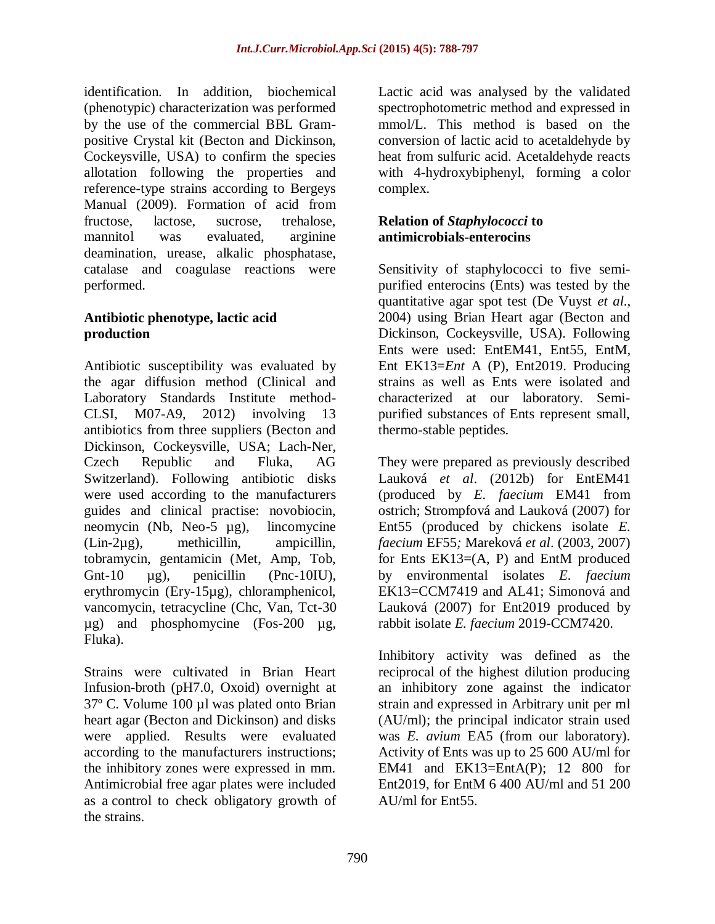identification. In addition, biochemical (phenotypic) characterization was performed by the use of the commercial BBL Grampositive Crystal kit (Becton and Dickinson, Cockeysville, USA) to confirm the species allotation following the properties and reference-type strains according to Bergeys Manual (2009). Formation of acid from fructose, lactose, sucrose, trehalose, mannitol was evaluated, arginine deamination, urease, alkalic phosphatase, catalase and coagulase reactions were performed.

### **Antibiotic phenotype, lactic acid production**

Antibiotic susceptibility was evaluated by the agar diffusion method (Clinical and Laboratory Standards Institute method-CLSI, M07-A9, 2012) involving 13 antibiotics from three suppliers (Becton and Dickinson, Cockeysville, USA; Lach-Ner, Czech Republic and Fluka, AG Switzerland). Following antibiotic disks were used according to the manufacturers guides and clinical practise: novobiocin, neomycin (Nb, Neo-5 µg), lincomycine (Lin-2µg), methicillin, ampicillin, tobramycin, gentamicin (Met, Amp, Tob, Gnt-10  $\mu$ g), penicillin (Pnc-10IU), erythromycin (Ery-15µg), chloramphenicol, vancomycin, tetracycline (Chc, Van, Tct-30 µg) and phosphomycine (Fos-200 µg, Fluka).

Strains were cultivated in Brian Heart Infusion-broth (pH7.0, Oxoid) overnight at 37º C. Volume 100 µl was plated onto Brian heart agar (Becton and Dickinson) and disks were applied. Results were evaluated according to the manufacturers instructions; the inhibitory zones were expressed in mm. Antimicrobial free agar plates were included as a control to check obligatory growth of the strains.

Lactic acid was analysed by the validated spectrophotometric method and expressed in mmol/L. This method is based on the conversion of lactic acid to acetaldehyde by heat from sulfuric acid. Acetaldehyde reacts with 4-hydroxybiphenyl, forming a color complex.

#### **Relation of** *Staphylococci* **to antimicrobials-enterocins**

Sensitivity of staphylococci to five semipurified enterocins (Ents) was tested by the quantitative agar spot test (De Vuyst *et al*., 2004) using Brian Heart agar (Becton and Dickinson, Cockeysville, USA). Following Ents were used: EntEM41, Ent55, EntM, Ent EK13=*Ent* A (P), Ent2019. Producing strains as well as Ents were isolated and characterized at our laboratory. Semipurified substances of Ents represent small, thermo-stable peptides.

They were prepared as previously described Lauková *et al*. (2012b) for EntEM41 (produced by *E. faecium* EM41 from ostrich; Strompfová and Lauková (2007) for Ent55 (produced by chickens isolate *E. faecium* EF55*;* Mareková *et al*. (2003, 2007) for Ents  $EK13=(A, P)$  and EntM produced by environmental isolates *E. faecium* EK13=CCM7419 and AL41; Simonová and Lauková (2007) for Ent2019 produced by rabbit isolate *E. faecium* 2019-CCM7420.

Inhibitory activity was defined as the reciprocal of the highest dilution producing an inhibitory zone against the indicator strain and expressed in Arbitrary unit per ml (AU/ml); the principal indicator strain used was *E. avium* EA5 (from our laboratory). Activity of Ents was up to 25 600 AU/ml for EM41 and EK13=EntA(P); 12 800 for Ent2019, for EntM 6 400 AU/ml and 51 200 AU/ml for Ent55.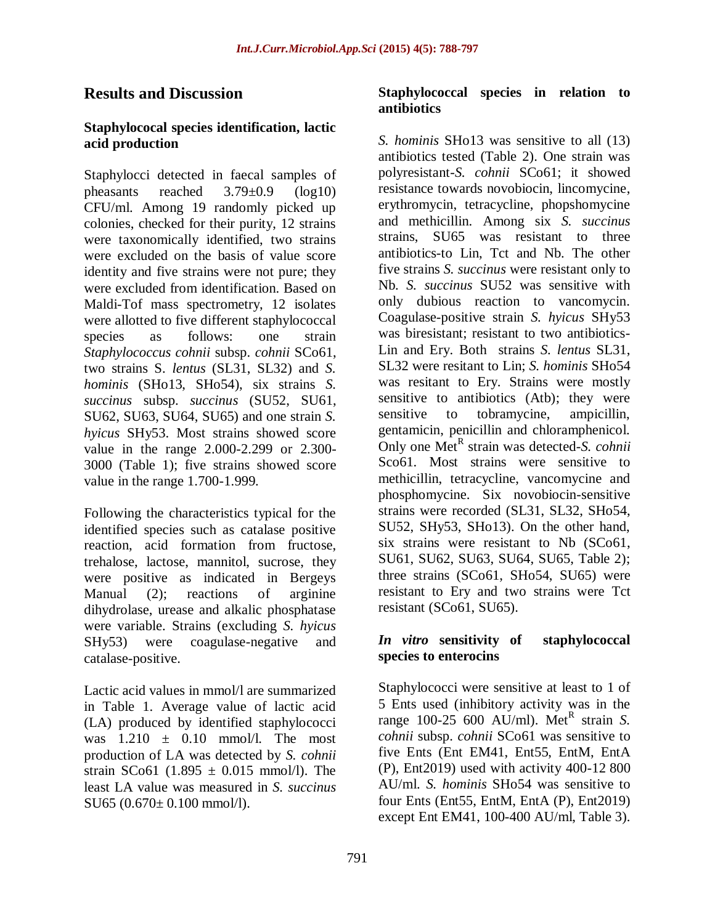# **Results and Discussion**

#### **Staphylococal species identification, lactic acid production**

Staphylocci detected in faecal samples of pheasants reached 3.79±0.9 (log10) CFU/ml. Among 19 randomly picked up colonies, checked for their purity, 12 strains were taxonomically identified, two strains were excluded on the basis of value score identity and five strains were not pure; they were excluded from identification. Based on Maldi-Tof mass spectrometry, 12 isolates were allotted to five different staphylococcal species as follows: one strain *Staphylococcus cohnii* subsp. *cohnii* SCo61, two strains S. *lentus* (SL31, SL32) and *S. hominis* (SHo13, SHo54), six strains *S. succinus* subsp. *succinus* (SU52, SU61, SU62, SU63, SU64, SU65) and one strain *S. hyicus* SHy53. Most strains showed score value in the range 2.000-2.299 or 2.300- 3000 (Table 1); five strains showed score value in the range 1.700-1.999.

Following the characteristics typical for the identified species such as catalase positive reaction, acid formation from fructose, trehalose, lactose, mannitol, sucrose, they were positive as indicated in Bergeys Manual (2); reactions of arginine dihydrolase, urease and alkalic phosphatase were variable. Strains (excluding *S. hyicus* SHy53) were coagulase-negative and catalase-positive.

Lactic acid values in mmol/l are summarized in Table 1. Average value of lactic acid (LA) produced by identified staphylococci was  $1.210 \pm 0.10 \text{ mmol/l}$ . The most production of LA was detected by *S. cohnii* strain SCo61 (1.895  $\pm$  0.015 mmol/l). The least LA value was measured in *S. succinus* SU65 (0.670± 0.100 mmol/l).

#### **Staphylococcal species in relation to antibiotics**

*S. hominis* SHo13 was sensitive to all (13) antibiotics tested (Table 2). One strain was polyresistant-*S. cohnii* SCo61; it showed resistance towards novobiocin, lincomycine, erythromycin, tetracycline, phopshomycine and methicillin. Among six *S. succinus* strains, SU65 was resistant to three antibiotics-to Lin, Tct and Nb. The other five strains *S. succinus* were resistant only to Nb. *S. succinus* SU52 was sensitive with only dubious reaction to vancomycin. Coagulase-positive strain *S. hyicus* SHy53 was biresistant; resistant to two antibiotics-Lin and Ery. Both strains *S. lentus* SL31, SL32 were resitant to Lin; *S. hominis* SHo54 was resitant to Ery. Strains were mostly sensitive to antibiotics (Atb); they were sensitive to tobramycine, ampicillin, gentamicin, penicillin and chloramphenicol. Only one Met<sup>R</sup> strain was detected-*S. cohnii* Sco61. Most strains were sensitive to methicillin, tetracycline, vancomycine and phosphomycine. Six novobiocin-sensitive strains were recorded (SL31, SL32, SHo54, SU52, SHy53, SHo13). On the other hand, six strains were resistant to Nb (SCo61, SU61, SU62, SU63, SU64, SU65, Table 2); three strains (SCo61, SHo54, SU65) were resistant to Ery and two strains were Tct resistant (SCo61, SU65).

#### *In vitro* **sensitivity of staphylococcal species to enterocins**

Staphylococci were sensitive at least to 1 of 5 Ents used (inhibitory activity was in the range  $100-25$  600 AU/ml). Met<sup>R</sup> strain *S*. *cohnii* subsp. *cohnii* SCo61 was sensitive to five Ents (Ent EM41, Ent55, EntM, EntA (P), Ent2019) used with activity 400-12 800 AU/ml. *S. hominis* SHo54 was sensitive to four Ents (Ent55, EntM, EntA (P), Ent2019) except Ent EM41, 100-400 AU/ml, Table 3).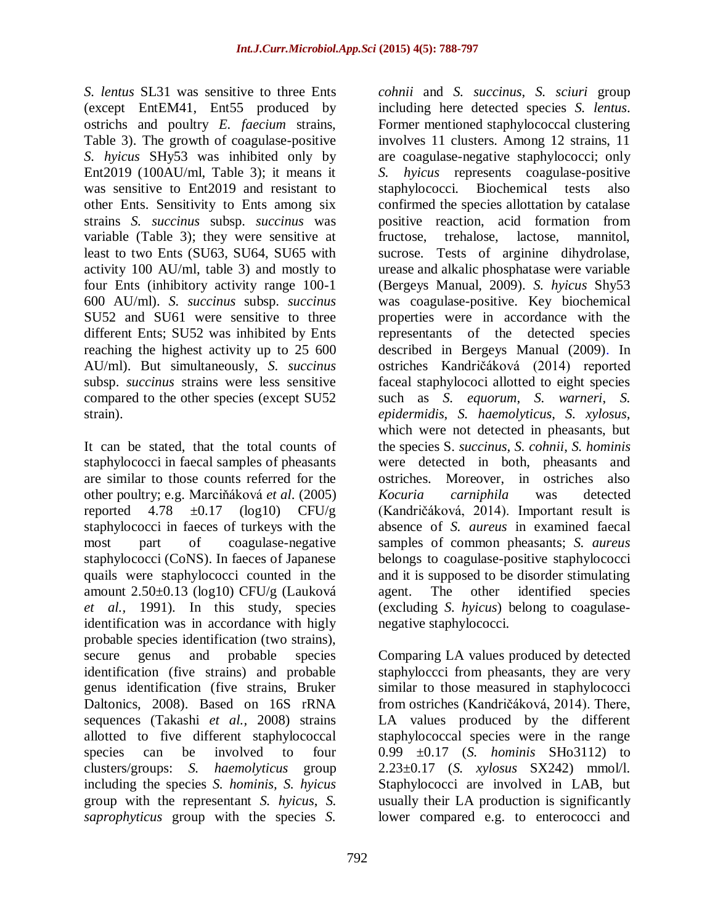*S. lentus* SL31 was sensitive to three Ents (except EntEM41, Ent55 produced by ostrichs and poultry *E. faecium* strains, Table 3). The growth of coagulase-positive *S. hyicus* SHy53 was inhibited only by Ent2019 (100AU/ml, Table 3); it means it was sensitive to Ent2019 and resistant to other Ents. Sensitivity to Ents among six strains *S. succinus* subsp. *succinus* was variable (Table 3); they were sensitive at least to two Ents (SU63, SU64, SU65 with activity 100 AU/ml, table 3) and mostly to four Ents (inhibitory activity range 100-1 600 AU/ml). *S. succinus* subsp. *succinus* SU52 and SU61 were sensitive to three different Ents; SU52 was inhibited by Ents reaching the highest activity up to 25 600 AU/ml). But simultaneously, *S. succinus* subsp. *succinus* strains were less sensitive compared to the other species (except SU52 strain).

It can be stated, that the total counts of staphylococci in faecal samples of pheasants are similar to those counts referred for the other poultry; e.g. Marciňáková *et al*. (2005) reported  $4.78 \pm 0.17$  (log10) CFU/g staphylococci in faeces of turkeys with the most part of coagulase-negative staphylococci (CoNS). In faeces of Japanese quails were staphylococci counted in the amount 2.50±0.13 (log10) CFU/g (Lauková *et al.,* 1991). In this study, species identification was in accordance with higly probable species identification (two strains), secure genus and probable species identification (five strains) and probable genus identification (five strains, Bruker Daltonics, 2008). Based on 16S rRNA sequences (Takashi *et al.,* 2008) strains allotted to five different staphylococcal species can be involved to four clusters/groups: *S. haemolyticus* group including the species *S. hominis, S. hyicus* group with the representant *S. hyicus*, *S. saprophyticus* group with the species *S.* 

*cohnii* and *S. succinus*, *S. sciuri* group including here detected species *S. lentus*. Former mentioned staphylococcal clustering involves 11 clusters. Among 12 strains, 11 are coagulase-negative staphylococci; only *S. hyicus* represents coagulase-positive staphylococci. Biochemical tests also confirmed the species allottation by catalase positive reaction, acid formation from fructose, trehalose, lactose, mannitol, sucrose. Tests of arginine dihydrolase, urease and alkalic phosphatase were variable (Bergeys Manual, 2009). *S. hyicus* Shy53 was coagulase-positive. Key biochemical properties were in accordance with the representants of the detected species described in Bergeys Manual (2009). In ostriches Kandričáková (2014) reported faceal staphylococi allotted to eight species such as *S. equorum*, *S. warneri*, *S. epidermidis*, *S. haemolyticus*, *S. xylosus*, which were not detected in pheasants, but the species S. *succinus, S. cohnii*, *S. hominis* were detected in both, pheasants and ostriches. Moreover, in ostriches also *Kocuria carniphila* was detected (Kandričáková, 2014). Important result is absence of *S. aureus* in examined faecal samples of common pheasants; *S. aureus* belongs to coagulase-positive staphylococci and it is supposed to be disorder stimulating agent. The other identified species (excluding *S. hyicus*) belong to coagulasenegative staphylococci.

Comparing LA values produced by detected staphyloccci from pheasants, they are very similar to those measured in staphylococci from ostriches (Kandričáková, 2014). There, LA values produced by the different staphylococcal species were in the range 0.99 ±0.17 (*S. hominis* SHo3112) to 2.23±0.17 (*S. xylosus* SX242) mmol/l. Staphylococci are involved in LAB, but usually their LA production is significantly lower compared e.g. to enterococci and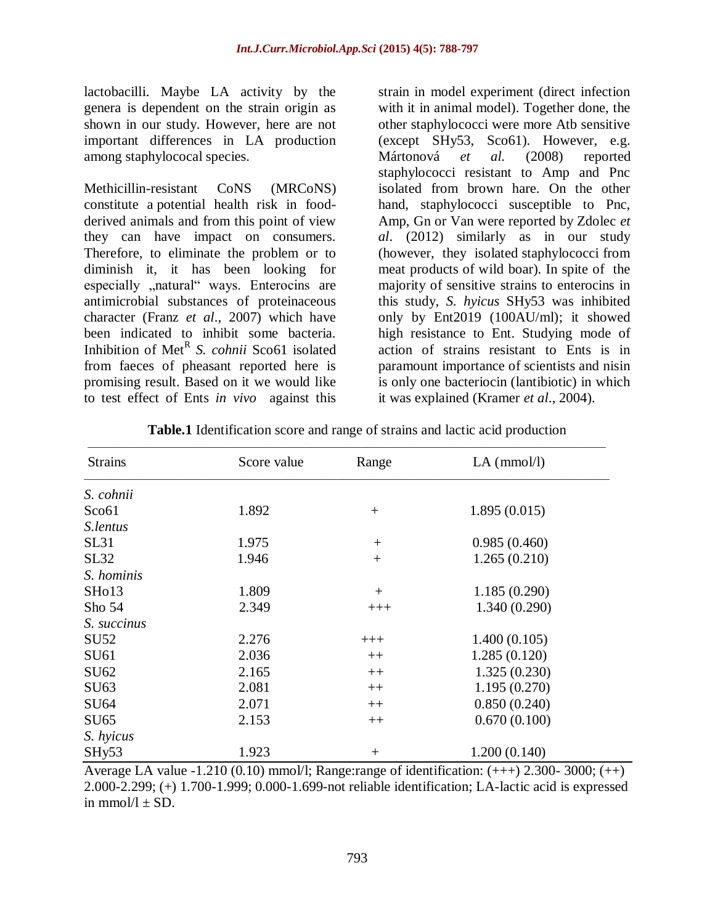lactobacilli. Maybe LA activity by the genera is dependent on the strain origin as shown in our study. However, here are not important differences in LA production among staphylococal species.

Methicillin-resistant CoNS (MRCoNS) constitute a potential health risk in foodderived animals and from this point of view they can have impact on consumers. Therefore, to eliminate the problem or to diminish it, it has been looking for especially "natural" ways. Enterocins are antimicrobial substances of proteinaceous character (Franz *et al*., 2007) which have been indicated to inhibit some bacteria. Inhibition of Met<sup>R</sup> S. cohnii Sco61 isolated from faeces of pheasant reported here is promising result. Based on it we would like to test effect of Ents *in vivo* against this

strain in model experiment (direct infection with it in animal model). Together done, the other staphylococci were more Atb sensitive (except SHy53, Sco61). However, e.g. Mártonová *et al.* (2008) reported staphylococci resistant to Amp and Pnc isolated from brown hare. On the other hand, staphylococci susceptible to Pnc, Amp, Gn or Van were reported by Zdolec *et al*. (2012) similarly as in our study (however, they isolated staphylococci from meat products of wild boar). In spite of the majority of sensitive strains to enterocins in this study, *S. hyicus* SHy53 was inhibited only by Ent2019 (100AU/ml); it showed high resistance to Ent. Studying mode of action of strains resistant to Ents is in paramount importance of scientists and nisin is only one bacteriocin (lantibiotic) in which it was explained (Kramer *et al*., 2004).

| <b>Strains</b>     | Score value | Range  | $LA$ (mmol/l) |  |
|--------------------|-------------|--------|---------------|--|
| S. cohnii          |             |        |               |  |
| Sco <sub>61</sub>  | 1.892       | $^{+}$ | 1.895(0.015)  |  |
| S.lentus           |             |        |               |  |
| SL31               | 1.975       | $^{+}$ | 0.985(0.460)  |  |
| SL32               | 1.946       | $+$    | 1.265(0.210)  |  |
| S. hominis         |             |        |               |  |
| SH <sub>o</sub> 13 | 1.809       | $^{+}$ | 1.185(0.290)  |  |
| Sho $54$           | 2.349       | $+++$  | 1.340(0.290)  |  |
| S. succinus        |             |        |               |  |
| <b>SU52</b>        | 2.276       | $+++$  | 1.400(0.105)  |  |
| SU61               | 2.036       | $++$   | 1.285(0.120)  |  |
| SU62               | 2.165       | $++$   | 1.325(0.230)  |  |
| SU63               | 2.081       | $++$   | 1.195(0.270)  |  |
| SU64               | 2.071       | $++$   | 0.850(0.240)  |  |
| <b>SU65</b>        | 2.153       | $++$   | 0.670(0.100)  |  |
| S. hyicus          |             |        |               |  |
| SHy53              | 1.923       | $+$    | 1.200(0.140)  |  |
|                    |             |        |               |  |

**Table.1** Identification score and range of strains and lactic acid production

Average LA value -1.210 (0.10) mmol/l; Range: range of identification:  $(++) 2.300 - 3000$ ;  $(++)$ 2.000-2.299; (+) 1.700-1.999; 0.000-1.699-not reliable identification; LA-lactic acid is expressed in  $mmol/l + SD$ .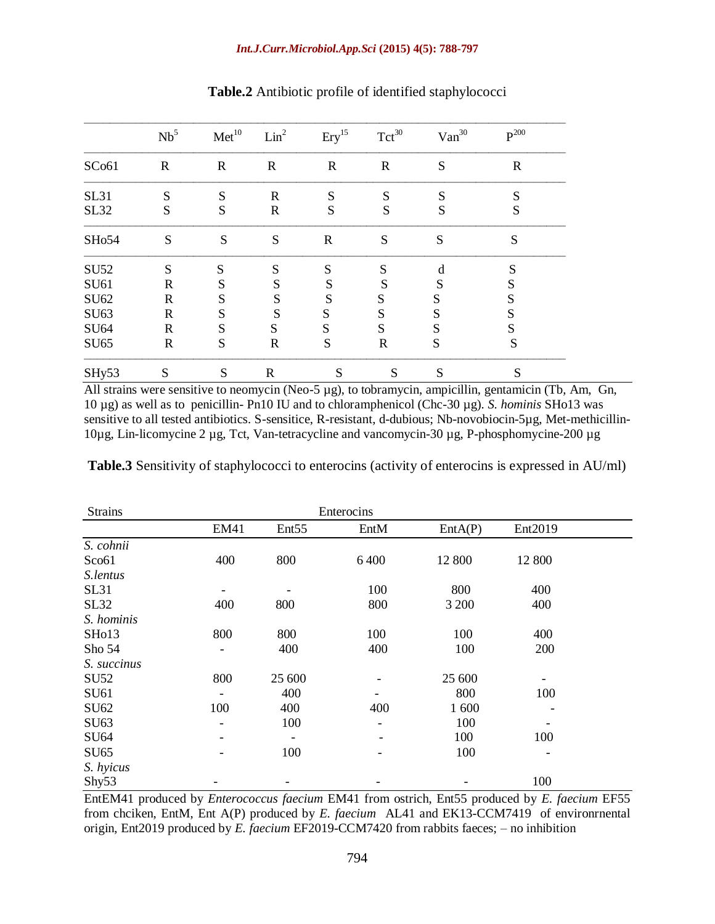|                   | Nb <sup>5</sup> | Met <sup>10</sup> | Lin <sup>2</sup> | $Ery$ <sup>15</sup> | $Tct^{30}$   | Van <sup>30</sup> | $P^{200}$   |
|-------------------|-----------------|-------------------|------------------|---------------------|--------------|-------------------|-------------|
| SC <sub>061</sub> | $\mathbf R$     | $\mathbf R$       | $\mathbf R$      | $\mathbf R$         | $\mathbf R$  | S                 | $\mathbf R$ |
| <b>SL31</b>       | S               | S                 | $\mathbf R$      | S                   | S            | S                 | S           |
| <b>SL32</b>       | S               | S                 | R                | S                   | S            | S                 | S           |
| SH <sub>054</sub> | S               | S                 | S                | $\mathbf R$         | ${\bf S}$    | S                 | S           |
| <b>SU52</b>       | S               | S                 | S                | S                   | S            | d                 | S           |
| SU61              | R               | S                 | S                | S                   | S            | S                 | S           |
| SU62              | $\mathbf R$     | S                 | S                | S                   | S            | S                 | S           |
| SU63              | R               | S                 | S                | S                   | S            | S                 | S           |
| <b>SU64</b>       | R               | S                 | S                | S                   | S            | S                 | S           |
| <b>SU65</b>       | $\mathbf R$     | S                 | R                | S                   | $\mathbb{R}$ | S                 | S           |
| SHy53             | S               | S                 | $\mathbf R$      | S                   | S            | S                 | S           |

**Table.2** Antibiotic profile of identified staphylococci

All strains were sensitive to neomycin (Neo-5 µg), to tobramycin, ampicillin, gentamicin (Tb, Am, Gn, 10 µg) as well as to penicillin- Pn10 IU and to chloramphenicol (Chc-30 µg). *S. hominis* SHo13 was sensitive to all tested antibiotics. S-sensitice, R-resistant, d-dubious; Nb-novobiocin-5µg, Met-methicillin-10µg, Lin-licomycine 2 µg, Tct, Van-tetracycline and vancomycin-30 µg, P-phosphomycine-200 µg

**Table.3** Sensitivity of staphylococci to enterocins (activity of enterocins is expressed in AU/ml)

| <b>Strains</b>     | Enterocins  |                   |                              |         |         |  |  |  |
|--------------------|-------------|-------------------|------------------------------|---------|---------|--|--|--|
|                    | <b>EM41</b> | Ent <sub>55</sub> | EntM                         | EntA(P) | Ent2019 |  |  |  |
| S. cohnii          |             |                   |                              |         |         |  |  |  |
| Sco61              | 400         | 800               | 6400                         | 12 800  | 12 800  |  |  |  |
| S.lentus           |             |                   |                              |         |         |  |  |  |
| <b>SL31</b>        |             |                   | 100                          | 800     | 400     |  |  |  |
| <b>SL32</b>        | 400         | 800               | 800                          | 3 200   | 400     |  |  |  |
| S. hominis         |             |                   |                              |         |         |  |  |  |
| SH <sub>o</sub> 13 | 800         | 800               | 100                          | 100     | 400     |  |  |  |
| Sho 54             |             | 400               | 400                          | 100     | 200     |  |  |  |
| S. succinus        |             |                   |                              |         |         |  |  |  |
| <b>SU52</b>        | 800         | 25 600            |                              | 25 600  |         |  |  |  |
| <b>SU61</b>        |             | 400               |                              | 800     | 100     |  |  |  |
| SU62               | 100         | 400               | 400                          | 1 600   |         |  |  |  |
| SU63               |             | 100               | $\overline{\phantom{a}}$     | 100     |         |  |  |  |
| SU64               |             |                   | $\qquad \qquad \blacksquare$ | 100     | 100     |  |  |  |
| <b>SU65</b>        |             | 100               | $\overline{\phantom{a}}$     | 100     | -       |  |  |  |
| S. hyicus          |             |                   |                              |         |         |  |  |  |
| Shy <sub>53</sub>  |             |                   |                              |         | 100     |  |  |  |

EntEM41 produced by *Enterococcus faecium* EM41 from ostrich, Ent55 produced by *E. faecium* EF55 from chciken, EntM, Ent A(P) produced by *E. faecium* AL41 and EK13-CCM7419 of environrnental origin, Ent2019 produced by *E. faecium* EF2019-CCM7420 from rabbits faeces; – no inhibition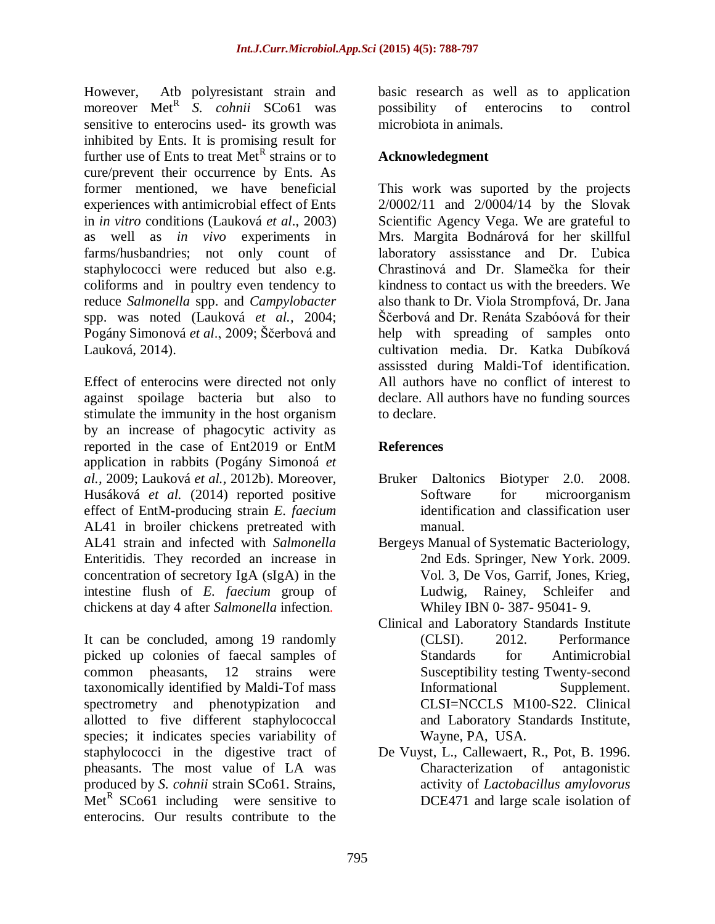However, Atb polyresistant strain and moreover Met<sup>R</sup> S. *cohnii* SCo61 was sensitive to enterocins used- its growth was inhibited by Ents. It is promising result for further use of Ents to treat Met<sup>R</sup> strains or to cure/prevent their occurrence by Ents. As former mentioned, we have beneficial experiences with antimicrobial effect of Ents in *in vitro* conditions (Lauková *et al*., 2003) as well as *in vivo* experiments in farms/husbandries; not only count of staphylococci were reduced but also e.g. coliforms and in poultry even tendency to reduce *Salmonella* spp. and *Campylobacter* spp. was noted (Lauková *et al.,* 2004; Pogány Simonová *et al*., 2009; Ščerbová and Lauková, 2014).

Effect of enterocins were directed not only against spoilage bacteria but also to stimulate the immunity in the host organism by an increase of phagocytic activity as reported in the case of Ent2019 or EntM application in rabbits (Pogány Simonoá *et al.,* 2009; Lauková *et al.,* 2012b). Moreover, Husáková *et al.* (2014) reported positive effect of EntM-producing strain *E. faecium* AL41 in broiler chickens pretreated with AL41 strain and infected with *Salmonella* Enteritidis. They recorded an increase in concentration of secretory IgA (sIgA) in the intestine flush of *E. faecium* group of chickens at day 4 after *Salmonella* infection.

It can be concluded, among 19 randomly picked up colonies of faecal samples of common pheasants, 12 strains were taxonomically identified by Maldi-Tof mass spectrometry and phenotypization and allotted to five different staphylococcal species; it indicates species variability of staphylococci in the digestive tract of pheasants. The most value of LA was produced by *S. cohnii* strain SCo61. Strains, Met<sup>R</sup> SCo61 including were sensitive to enterocins. Our results contribute to the

basic research as well as to application possibility of enterocins to control microbiota in animals.

# **Acknowledegment**

This work was suported by the projects 2/0002/11 and 2/0004/14 by the Slovak Scientific Agency Vega. We are grateful to Mrs. Margita Bodnárová for her skillful laboratory assisstance and Dr. Ľubica Chrastinová and Dr. Slamečka for their kindness to contact us with the breeders. We also thank to Dr. Viola Strompfová, Dr. Jana Ščerbová and Dr. Renáta Szabóová for their help with spreading of samples onto cultivation media. Dr. Katka Dubíková assissted during Maldi-Tof identification. All authors have no conflict of interest to declare. All authors have no funding sources to declare.

# **References**

- Bruker Daltonics Biotyper 2.0. 2008. Software for microorganism identification and classification user manual.
- Bergeys Manual of Systematic Bacteriology, 2nd Eds. Springer, New York. 2009. Vol. 3, De Vos, Garrif, Jones, Krieg, Ludwig, Rainey, Schleifer and Whiley IBN 0- 387- 95041- 9.
- Clinical and Laboratory Standards Institute (CLSI). 2012. Performance Standards for Antimicrobial Susceptibility testing Twenty-second Informational Supplement. CLSI=NCCLS M100-S22. Clinical and Laboratory Standards Institute, Wayne, PA, USA.
- De Vuyst, L., Callewaert, R., Pot, B. 1996. Characterization of antagonistic activity of *Lactobacillus amylovorus* DCE471 and large scale isolation of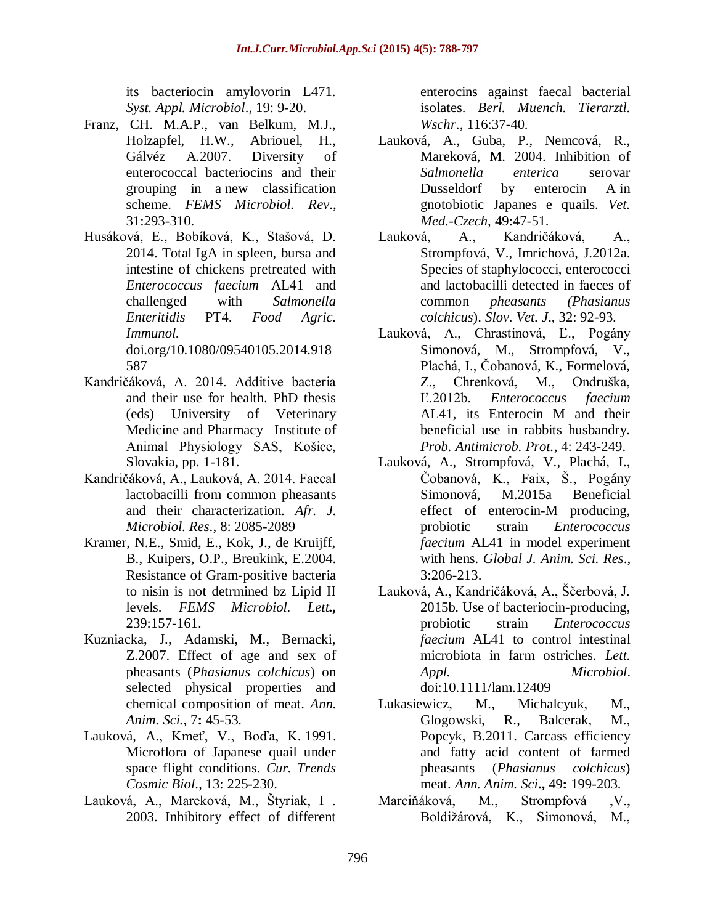its bacteriocin amylovorin L471. *Syst. Appl. Microbiol*., 19: 9-20.

- Franz, CH. M.A.P., van Belkum, M.J., Holzapfel, H.W., Abriouel, H., Gálvéz A.2007. Diversity of enterococcal bacteriocins and their grouping in a new classification scheme. *FEMS Microbiol. Rev*., 31:293-310.
- Husáková, E., Bobíková, K., Stašová, D. 2014. Total IgA in spleen, bursa and intestine of chickens pretreated with *Enterococcus faecium* AL41 and challenged with *Salmonella Enteritidis* PT4. *Food Agric. Immunol.* doi.org/10.1080/09540105.2014.918 587
- Kandričáková, A. 2014. Additive bacteria and their use for health. PhD thesis (eds) University of Veterinary Medicine and Pharmacy –Institute of Animal Physiology SAS, Košice, Slovakia, pp. 1-181.
- Kandričáková, A., Lauková, A. 2014. Faecal lactobacilli from common pheasants and their characterization. *Afr. J. Microbiol. Res*., 8: 2085-2089
- Kramer, N.E., Smid, E., Kok, J., de Kruijff, B., Kuipers, O.P., Breukink, E.2004. Resistance of Gram-positive bacteria to nisin is not detrmined bz Lipid II levels. *FEMS Microbiol. Lett.,* 239:157-161.
- Kuzniacka, J., Adamski, M., Bernacki, Z.2007. Effect of age and sex of pheasants (*Phasianus colchicus*) on selected physical properties and chemical composition of meat. *Ann. Anim. Sci.,* 7**:** 45-53.
- Lauková, A., Kmeť, V., Boďa, K. 1991. Microflora of Japanese quail under space flight conditions. *Cur. Trends Cosmic Biol*., 13: 225-230.
- Lauková, A., Mareková, M., Štyriak, I . 2003. Inhibitory effect of different

enterocins against faecal bacterial isolates. *Berl. Muench. Tierarztl. Wschr*., 116:37-40.

- Lauková, A., Guba, P., Nemcová, R., Mareková, M. 2004. Inhibition of *Salmonella enterica* serovar Dusseldorf by enterocin A in gnotobiotic Japanes e quails. *Vet. Med.-Czech,* 49:47-51.
- Lauková, A., Kandričáková, A., Strompfová, V., Imrichová, J.2012a. Species of staphylococci, enterococci and lactobacilli detected in faeces of common *pheasants (Phasianus colchicus*). *Slov. Vet. J*., 32: 92-93.
- Lauková, A., Chrastinová, Ľ., Pogány Simonová, M., Strompfová, V., Plachá, I., Čobanová, K., Formelová, Z., Chrenková, M., Ondruška, Ľ.2012b. *Enterococcus faecium* AL41, its Enterocin M and their beneficial use in rabbits husbandry. *Prob. Antimicrob. Prot.*, 4: 243-249.
- Lauková, A., Strompfová, V., Plachá, I., Čobanová, K., Faix, Š., Pogány Simonová, M.2015a Beneficial effect of enterocin-M producing, probiotic strain *Enterococcus faecium* AL41 in model experiment with hens. *Global J. Anim. Sci. Res*., 3:206-213.
- Lauková, A., Kandričáková, A., Ščerbová, J. 2015b. Use of bacteriocin-producing, probiotic strain *Enterococcus faecium* AL41 to control intestinal microbiota in farm ostriches. *Lett. Appl. Microbiol*. doi:10.1111/lam.12409
- Lukasiewicz, M., Michalcyuk, M., Glogowski, R., Balcerak, M., Popcyk, B.2011. Carcass efficiency and fatty acid content of farmed pheasants (*Phasianus colchicus*) meat. *Ann. Anim. Sci***.,** 49**:** 199-203.
- Marciňáková, M., Strompfová ,V., Boldižárová, K., Simonová, M.,